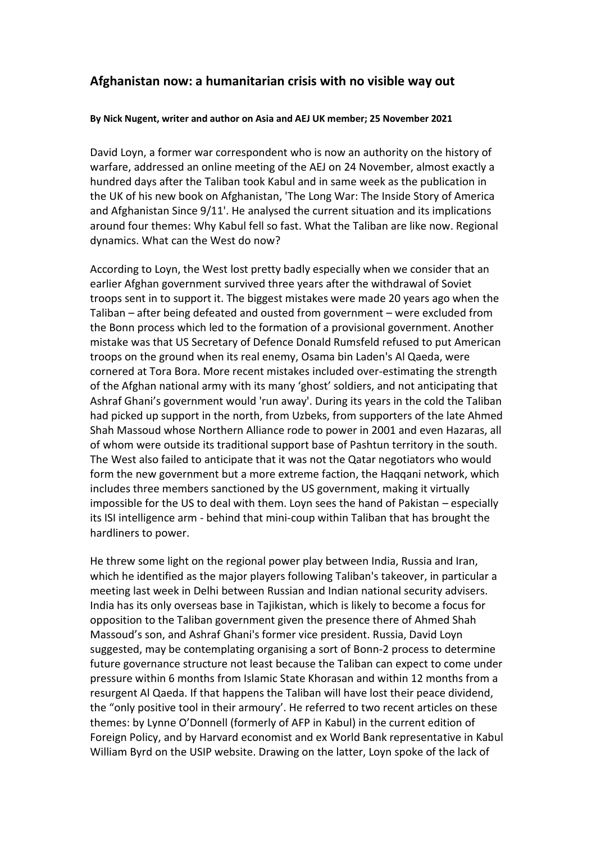## **Afghanistan now: a humanitarian crisis with no visible way out**

## **By Nick Nugent, writer and author on Asia and AEJ UK member; 25 November 2021**

David Loyn, a former war correspondent who is now an authority on the history of warfare, addressed an online meeting of the AEJ on 24 November, almost exactly a hundred days after the Taliban took Kabul and in same week as the publication in the UK of his new book on Afghanistan, 'The Long War: The Inside Story of America and Afghanistan Since 9/11'. He analysed the current situation and its implications around four themes: Why Kabul fell so fast. What the Taliban are like now. Regional dynamics. What can the West do now?

According to Loyn, the West lost pretty badly especially when we consider that an earlier Afghan government survived three years after the withdrawal of Soviet troops sent in to support it. The biggest mistakes were made 20 years ago when the Taliban – after being defeated and ousted from government – were excluded from the Bonn process which led to the formation of a provisional government. Another mistake was that US Secretary of Defence Donald Rumsfeld refused to put American troops on the ground when its real enemy, Osama bin Laden's Al Qaeda, were cornered at Tora Bora. More recent mistakes included over-estimating the strength of the Afghan national army with its many 'ghost' soldiers, and not anticipating that Ashraf Ghani's government would 'run away'. During its years in the cold the Taliban had picked up support in the north, from Uzbeks, from supporters of the late Ahmed Shah Massoud whose Northern Alliance rode to power in 2001 and even Hazaras, all of whom were outside its traditional support base of Pashtun territory in the south. The West also failed to anticipate that it was not the Qatar negotiators who would form the new government but a more extreme faction, the Haqqani network, which includes three members sanctioned by the US government, making it virtually impossible for the US to deal with them. Loyn sees the hand of Pakistan – especially its ISI intelligence arm - behind that mini-coup within Taliban that has brought the hardliners to power.

He threw some light on the regional power play between India, Russia and Iran, which he identified as the major players following Taliban's takeover, in particular a meeting last week in Delhi between Russian and Indian national security advisers. India has its only overseas base in Tajikistan, which is likely to become a focus for opposition to the Taliban government given the presence there of Ahmed Shah Massoud's son, and Ashraf Ghani's former vice president. Russia, David Loyn suggested, may be contemplating organising a sort of Bonn-2 process to determine future governance structure not least because the Taliban can expect to come under pressure within 6 months from Islamic State Khorasan and within 12 months from a resurgent Al Qaeda. If that happens the Taliban will have lost their peace dividend, the "only positive tool in their armoury'. He referred to two recent articles on these themes: by Lynne O'Donnell (formerly of AFP in Kabul) in the current edition of Foreign Policy, and by Harvard economist and ex World Bank representative in Kabul William Byrd on the USIP website. Drawing on the latter, Loyn spoke of the lack of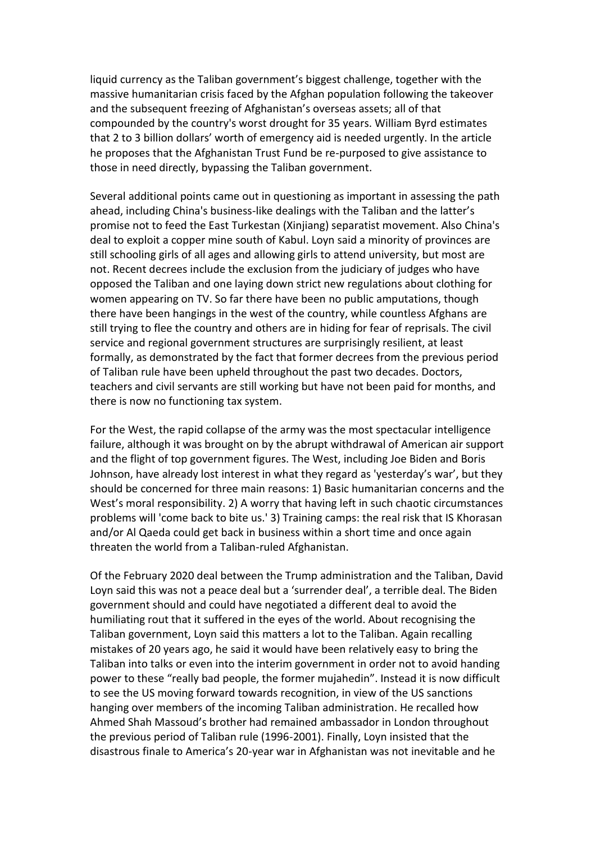liquid currency as the Taliban government's biggest challenge, together with the massive humanitarian crisis faced by the Afghan population following the takeover and the subsequent freezing of Afghanistan's overseas assets; all of that compounded by the country's worst drought for 35 years. William Byrd estimates that 2 to 3 billion dollars' worth of emergency aid is needed urgently. In the article he proposes that the Afghanistan Trust Fund be re-purposed to give assistance to those in need directly, bypassing the Taliban government.

Several additional points came out in questioning as important in assessing the path ahead, including China's business-like dealings with the Taliban and the latter's promise not to feed the East Turkestan (Xinjiang) separatist movement. Also China's deal to exploit a copper mine south of Kabul. Loyn said a minority of provinces are still schooling girls of all ages and allowing girls to attend university, but most are not. Recent decrees include the exclusion from the judiciary of judges who have opposed the Taliban and one laying down strict new regulations about clothing for women appearing on TV. So far there have been no public amputations, though there have been hangings in the west of the country, while countless Afghans are still trying to flee the country and others are in hiding for fear of reprisals. The civil service and regional government structures are surprisingly resilient, at least formally, as demonstrated by the fact that former decrees from the previous period of Taliban rule have been upheld throughout the past two decades. Doctors, teachers and civil servants are still working but have not been paid for months, and there is now no functioning tax system.

For the West, the rapid collapse of the army was the most spectacular intelligence failure, although it was brought on by the abrupt withdrawal of American air support and the flight of top government figures. The West, including Joe Biden and Boris Johnson, have already lost interest in what they regard as 'yesterday's war', but they should be concerned for three main reasons: 1) Basic humanitarian concerns and the West's moral responsibility. 2) A worry that having left in such chaotic circumstances problems will 'come back to bite us.' 3) Training camps: the real risk that IS Khorasan and/or Al Qaeda could get back in business within a short time and once again threaten the world from a Taliban-ruled Afghanistan.

Of the February 2020 deal between the Trump administration and the Taliban, David Loyn said this was not a peace deal but a 'surrender deal', a terrible deal. The Biden government should and could have negotiated a different deal to avoid the humiliating rout that it suffered in the eyes of the world. About recognising the Taliban government, Loyn said this matters a lot to the Taliban. Again recalling mistakes of 20 years ago, he said it would have been relatively easy to bring the Taliban into talks or even into the interim government in order not to avoid handing power to these "really bad people, the former mujahedin". Instead it is now difficult to see the US moving forward towards recognition, in view of the US sanctions hanging over members of the incoming Taliban administration. He recalled how Ahmed Shah Massoud's brother had remained ambassador in London throughout the previous period of Taliban rule (1996-2001). Finally, Loyn insisted that the disastrous finale to America's 20-year war in Afghanistan was not inevitable and he